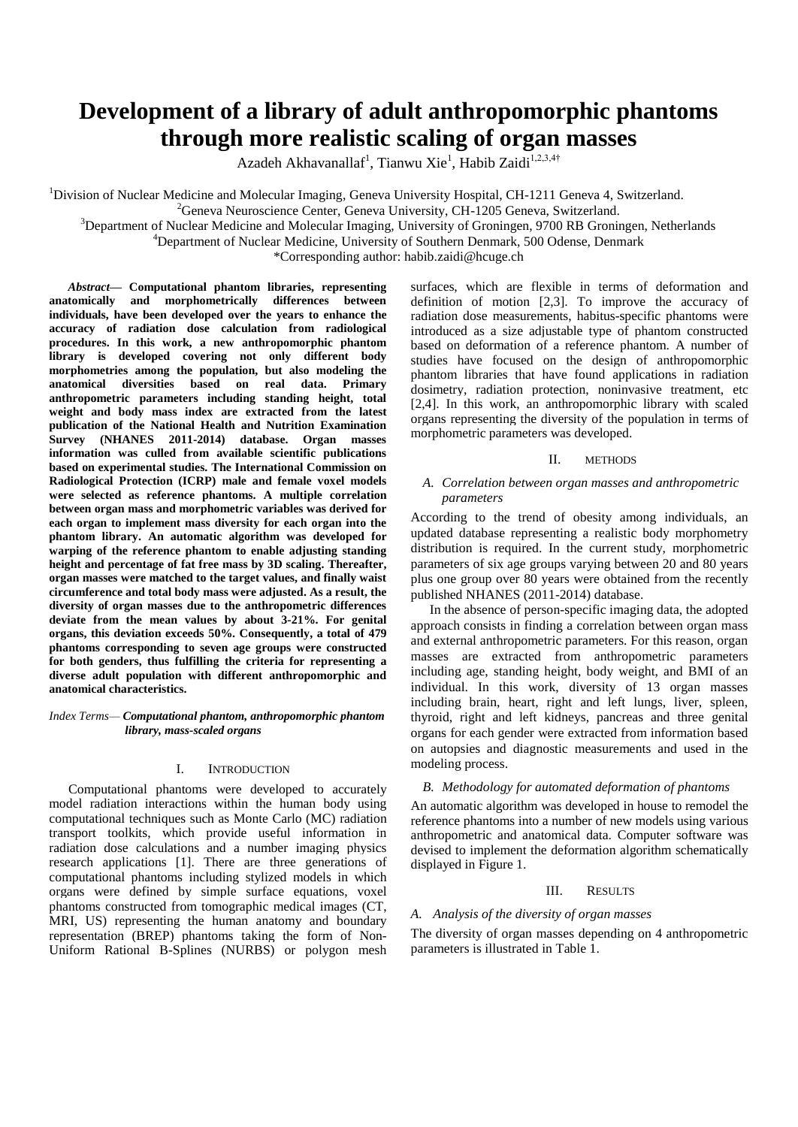# **Development of a library of adult anthropomorphic phantoms through more realistic scaling of organ masses**

Azadeh Akhavanallaf<sup>1</sup>, Tianwu Xie<sup>1</sup>, Habib Zaidi<sup>1,2,3,4†</sup>

<sup>1</sup>Division of Nuclear Medicine and Molecular Imaging, Geneva University Hospital, CH-1211 Geneva 4, Switzerland.  ${}^{2}$ Geneva Neuroscience Center, Geneva University, CH-1205 Geneva, Switzerland.

<sup>3</sup>Department of Nuclear Medicine and Molecular Imaging, University of Groningen, 9700 RB Groningen, Netherlands

<sup>4</sup>Department of Nuclear Medicine, University of Southern Denmark, 500 Odense, Denmark

\*Corresponding author: habib.zaidi@hcuge.ch

*Abstract***— Computational phantom libraries, representing anatomically and morphometrically differences between individuals, have been developed over the years to enhance the accuracy of radiation dose calculation from radiological procedures. In this work, a new anthropomorphic phantom library is developed covering not only different body morphometries among the population, but also modeling the anatomical diversities based on real data. Primary anthropometric parameters including standing height, total weight and body mass index are extracted from the latest publication of the National Health and Nutrition Examination Survey (NHANES 2011-2014) database. Organ masses information was culled from available scientific publications based on experimental studies. The International Commission on Radiological Protection (ICRP) male and female voxel models were selected as reference phantoms. A multiple correlation between organ mass and morphometric variables was derived for each organ to implement mass diversity for each organ into the phantom library. An automatic algorithm was developed for warping of the reference phantom to enable adjusting standing height and percentage of fat free mass by 3D scaling. Thereafter, organ masses were matched to the target values, and finally waist circumference and total body mass were adjusted. As a result, the diversity of organ masses due to the anthropometric differences deviate from the mean values by about 3-21%. For genital organs, this deviation exceeds 50%. Consequently, a total of 479 phantoms corresponding to seven age groups were constructed for both genders, thus fulfilling the criteria for representing a diverse adult population with different anthropomorphic and anatomical characteristics.**

## *Index Terms— Computational phantom, anthropomorphic phantom library, mass-scaled organs*

#### I. INTRODUCTION

Computational phantoms were developed to accurately model radiation interactions within the human body using computational techniques such as Monte Carlo (MC) radiation transport toolkits, which provide useful information in radiation dose calculations and a number imaging physics research applications [1]. There are three generations of computational phantoms including stylized models in which organs were defined by simple surface equations, voxel phantoms constructed from tomographic medical images (CT, MRI, US) representing the human anatomy and boundary representation (BREP) phantoms taking the form of Non-Uniform Rational B-Splines (NURBS) or polygon mesh surfaces, which are flexible in terms of deformation and definition of motion [2,3]. To improve the accuracy of radiation dose measurements, habitus-specific phantoms were introduced as a size adjustable type of phantom constructed based on deformation of a reference phantom. A number of studies have focused on the design of anthropomorphic phantom libraries that have found applications in radiation dosimetry, radiation protection, noninvasive treatment, etc [2,4]. In this work, an anthropomorphic library with scaled organs representing the diversity of the population in terms of morphometric parameters was developed.

## II. METHODS

## *A. Correlation between organ masses and anthropometric parameters*

According to the trend of obesity among individuals, an updated database representing a realistic body morphometry distribution is required. In the current study, morphometric parameters of six age groups varying between 20 and 80 years plus one group over 80 years were obtained from the recently published NHANES (2011-2014) database.

In the absence of person-specific imaging data, the adopted approach consists in finding a correlation between organ mass and external anthropometric parameters. For this reason, organ masses are extracted from anthropometric parameters including age, standing height, body weight, and BMI of an individual. In this work, diversity of 13 organ masses including brain, heart, right and left lungs, liver, spleen, thyroid, right and left kidneys, pancreas and three genital organs for each gender were extracted from information based on autopsies and diagnostic measurements and used in the modeling process.

## *B. Methodology for automated deformation of phantoms*

An automatic algorithm was developed in house to remodel the reference phantoms into a number of new models using various anthropometric and anatomical data. Computer software was devised to implement the deformation algorithm schematically displayed in [Figure 1.](#page-1-0)

#### III. RESULTS

## *A. Analysis of the diversity of organ masses*

The diversity of organ masses depending on 4 anthropometric parameters is illustrated in Table 1.